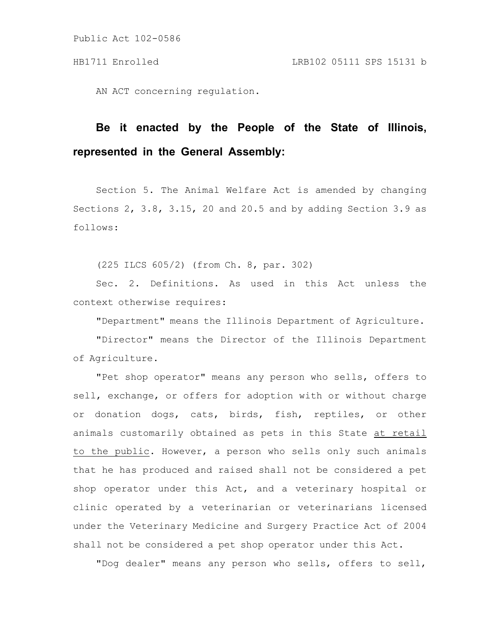AN ACT concerning regulation.

# **Be it enacted by the People of the State of Illinois, represented in the General Assembly:**

Section 5. The Animal Welfare Act is amended by changing Sections 2, 3.8, 3.15, 20 and 20.5 and by adding Section 3.9 as follows:

(225 ILCS 605/2) (from Ch. 8, par. 302)

Sec. 2. Definitions. As used in this Act unless the context otherwise requires:

"Department" means the Illinois Department of Agriculture.

"Director" means the Director of the Illinois Department of Agriculture.

"Pet shop operator" means any person who sells, offers to sell, exchange, or offers for adoption with or without charge or donation dogs, cats, birds, fish, reptiles, or other animals customarily obtained as pets in this State at retail to the public. However, a person who sells only such animals that he has produced and raised shall not be considered a pet shop operator under this Act, and a veterinary hospital or clinic operated by a veterinarian or veterinarians licensed under the Veterinary Medicine and Surgery Practice Act of 2004 shall not be considered a pet shop operator under this Act.

"Dog dealer" means any person who sells, offers to sell,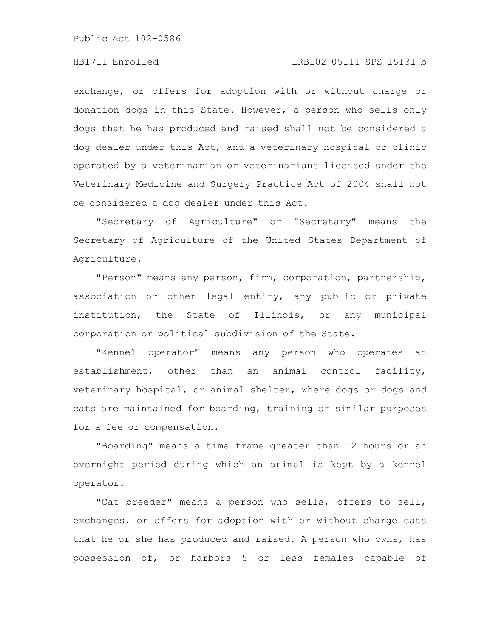### HB1711 Enrolled LRB102 05111 SPS 15131 b

exchange, or offers for adoption with or without charge or donation dogs in this State. However, a person who sells only dogs that he has produced and raised shall not be considered a dog dealer under this Act, and a veterinary hospital or clinic operated by a veterinarian or veterinarians licensed under the Veterinary Medicine and Surgery Practice Act of 2004 shall not be considered a dog dealer under this Act.

"Secretary of Agriculture" or "Secretary" means the Secretary of Agriculture of the United States Department of Agriculture.

"Person" means any person, firm, corporation, partnership, association or other legal entity, any public or private institution, the State of Illinois, or any municipal corporation or political subdivision of the State.

"Kennel operator" means any person who operates an establishment, other than an animal control facility, veterinary hospital, or animal shelter, where dogs or dogs and cats are maintained for boarding, training or similar purposes for a fee or compensation.

"Boarding" means a time frame greater than 12 hours or an overnight period during which an animal is kept by a kennel operator.

"Cat breeder" means a person who sells, offers to sell, exchanges, or offers for adoption with or without charge cats that he or she has produced and raised. A person who owns, has possession of, or harbors 5 or less females capable of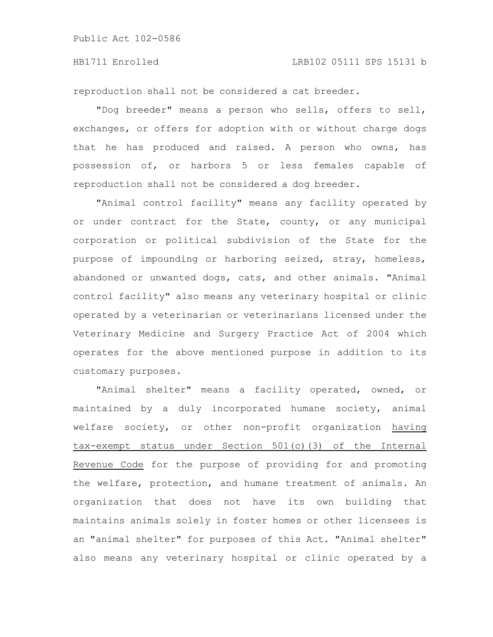reproduction shall not be considered a cat breeder.

"Dog breeder" means a person who sells, offers to sell, exchanges, or offers for adoption with or without charge dogs that he has produced and raised. A person who owns, has possession of, or harbors 5 or less females capable of reproduction shall not be considered a dog breeder.

"Animal control facility" means any facility operated by or under contract for the State, county, or any municipal corporation or political subdivision of the State for the purpose of impounding or harboring seized, stray, homeless, abandoned or unwanted dogs, cats, and other animals. "Animal control facility" also means any veterinary hospital or clinic operated by a veterinarian or veterinarians licensed under the Veterinary Medicine and Surgery Practice Act of 2004 which operates for the above mentioned purpose in addition to its customary purposes.

"Animal shelter" means a facility operated, owned, or maintained by a duly incorporated humane society, animal welfare society, or other non-profit organization having tax-exempt status under Section 501(c)(3) of the Internal Revenue Code for the purpose of providing for and promoting the welfare, protection, and humane treatment of animals. An organization that does not have its own building that maintains animals solely in foster homes or other licensees is an "animal shelter" for purposes of this Act. "Animal shelter" also means any veterinary hospital or clinic operated by a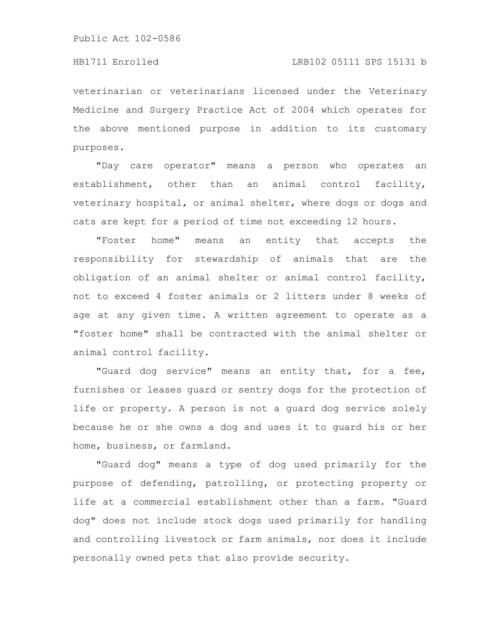veterinarian or veterinarians licensed under the Veterinary Medicine and Surgery Practice Act of 2004 which operates for the above mentioned purpose in addition to its customary purposes.

"Day care operator" means a person who operates an establishment, other than an animal control facility, veterinary hospital, or animal shelter, where dogs or dogs and cats are kept for a period of time not exceeding 12 hours.

"Foster home" means an entity that accepts the responsibility for stewardship of animals that are the obligation of an animal shelter or animal control facility, not to exceed 4 foster animals or 2 litters under 8 weeks of age at any given time. A written agreement to operate as a "foster home" shall be contracted with the animal shelter or animal control facility.

"Guard dog service" means an entity that, for a fee, furnishes or leases guard or sentry dogs for the protection of life or property. A person is not a guard dog service solely because he or she owns a dog and uses it to guard his or her home, business, or farmland.

"Guard dog" means a type of dog used primarily for the purpose of defending, patrolling, or protecting property or life at a commercial establishment other than a farm. "Guard dog" does not include stock dogs used primarily for handling and controlling livestock or farm animals, nor does it include personally owned pets that also provide security.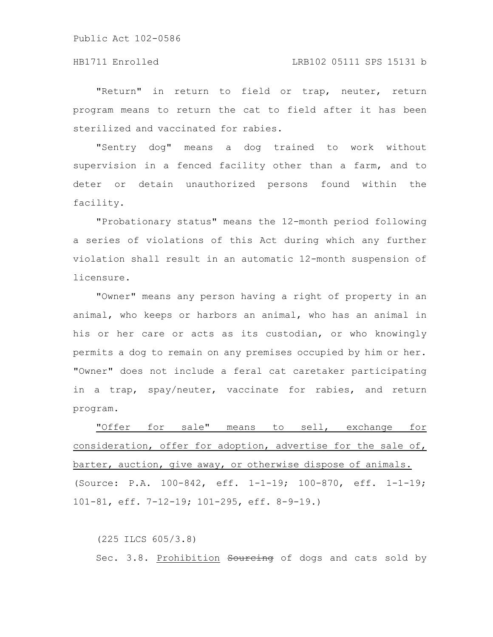#### HB1711 Enrolled LRB102 05111 SPS 15131 b

"Return" in return to field or trap, neuter, return program means to return the cat to field after it has been sterilized and vaccinated for rabies.

"Sentry dog" means a dog trained to work without supervision in a fenced facility other than a farm, and to deter or detain unauthorized persons found within the facility.

"Probationary status" means the 12-month period following a series of violations of this Act during which any further violation shall result in an automatic 12-month suspension of licensure.

"Owner" means any person having a right of property in an animal, who keeps or harbors an animal, who has an animal in his or her care or acts as its custodian, or who knowingly permits a dog to remain on any premises occupied by him or her. "Owner" does not include a feral cat caretaker participating in a trap, spay/neuter, vaccinate for rabies, and return program.

"Offer for sale" means to sell, exchange for consideration, offer for adoption, advertise for the sale of, barter, auction, give away, or otherwise dispose of animals. (Source: P.A. 100-842, eff. 1-1-19; 100-870, eff. 1-1-19; 101-81, eff. 7-12-19; 101-295, eff. 8-9-19.)

(225 ILCS 605/3.8) Sec. 3.8. Prohibition Sourcing of dogs and cats sold by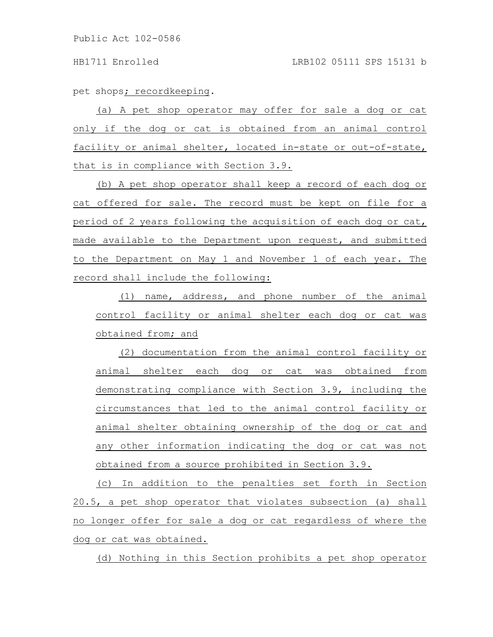pet shops; recordkeeping.

(a) A pet shop operator may offer for sale a dog or cat only if the dog or cat is obtained from an animal control facility or animal shelter, located in-state or out-of-state, that is in compliance with Section 3.9.

(b) A pet shop operator shall keep a record of each dog or cat offered for sale. The record must be kept on file for a period of 2 years following the acquisition of each dog or cat, made available to the Department upon request, and submitted to the Department on May 1 and November 1 of each year. The record shall include the following:

(1) name, address, and phone number of the animal control facility or animal shelter each dog or cat was obtained from; and

(2) documentation from the animal control facility or animal shelter each dog or cat was obtained from demonstrating compliance with Section 3.9, including the circumstances that led to the animal control facility or animal shelter obtaining ownership of the dog or cat and any other information indicating the dog or cat was not obtained from a source prohibited in Section 3.9.

(c) In addition to the penalties set forth in Section 20.5, a pet shop operator that violates subsection (a) shall no longer offer for sale a dog or cat regardless of where the dog or cat was obtained.

(d) Nothing in this Section prohibits a pet shop operator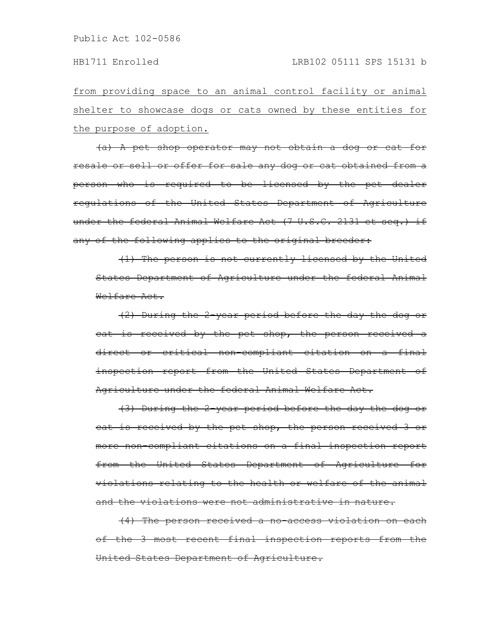from providing space to an animal control facility or animal shelter to showcase dogs or cats owned by these entities for the purpose of adoption.

(a) A pet shop operator may not obtain a dog or cat for resale or sell or offer for sale any dog or cat obtained from a person who is required to be licensed by the pet dealer regulations of the United States Department of Agriculture under the federal Animal Welfare Act (7 U.S.C. 2131 et seq.) if any of the following applies to the original breeder:

(1) The person is not currently licensed by the United States Department of Agriculture under the federal Animal Welfare Act.

(2) During the 2-year period before the day the dog or cat is received by the pet shop, the person received a direct or critical non-compliant citation on a final inspection report from the United States Department of Agriculture under the federal Animal Welfare Act.

(3) During the 2-year period before the day the dog or cat is received by the pet shop, the person received 3 or more non-compliant citations on a final inspection report from the United States Department of Agriculture for violations relating to the health or welfare of the animal and the violations were not administrative in nature.

(4) The person received a no-access violation on each of the 3 most recent final inspection reports from the United States Department of Agriculture.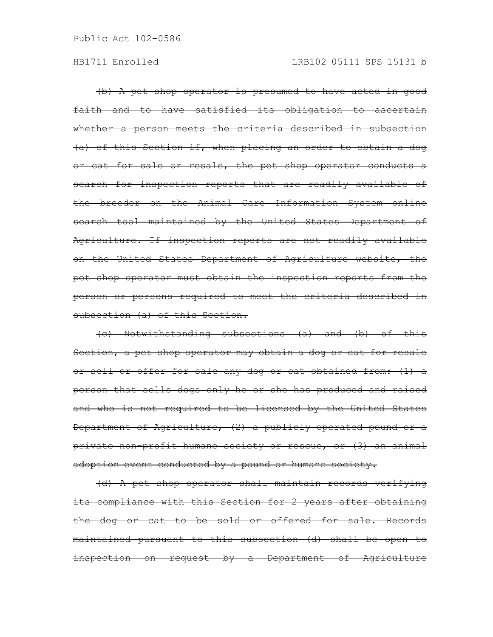(b) A pet shop operator is presumed to have acted in good faith and to have satisfied its obligation to ascertain whether a person meets the criteria described in subsection (a) of this Section if, when placing an order to obtain a dog or cat for sale or resale, the pet shop operator conducts a search for inspection reports that are readily available of the breeder on the Animal Care Information System online search tool maintained by the United States Department of Agriculture. If inspection reports are not readily available on the United States Department of Agriculture website, the pet shop operator must obtain the inspection reports from the person or persons required to meet the criteria described in subsection (a) of this Section.

(c) Notwithstanding subsections (a) and (b) of this Section, a pet shop operator may obtain a dog or cat for resale or sell or offer for sale any dog or cat obtained from: (1) a person that sells dogs only he or she has produced and raised and who is not required to be licensed by the United States Department of Agriculture, (2) a publicly operated pound or a private non-profit humane society or rescue, or (3) an animal adoption event conducted by a pound or humane society.

(d) A pet shop operator shall maintain records verifying its compliance with this Section for 2 years after obtaining the dog or cat to be sold or offered for sale. Records maintained pursuant to this subsection (d) shall be open to inspection on request by a Department of Agriculture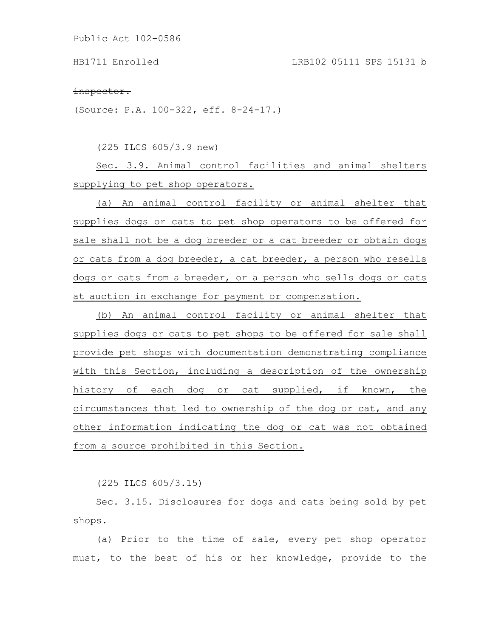#### inspector.

(Source: P.A. 100-322, eff. 8-24-17.)

(225 ILCS 605/3.9 new)

Sec. 3.9. Animal control facilities and animal shelters supplying to pet shop operators.

(a) An animal control facility or animal shelter that supplies dogs or cats to pet shop operators to be offered for sale shall not be a dog breeder or a cat breeder or obtain dogs or cats from a dog breeder, a cat breeder, a person who resells dogs or cats from a breeder, or a person who sells dogs or cats at auction in exchange for payment or compensation.

(b) An animal control facility or animal shelter that supplies dogs or cats to pet shops to be offered for sale shall provide pet shops with documentation demonstrating compliance with this Section, including a description of the ownership history of each dog or cat supplied, if known, the circumstances that led to ownership of the dog or cat, and any other information indicating the dog or cat was not obtained from a source prohibited in this Section.

(225 ILCS 605/3.15)

Sec. 3.15. Disclosures for dogs and cats being sold by pet shops.

(a) Prior to the time of sale, every pet shop operator must, to the best of his or her knowledge, provide to the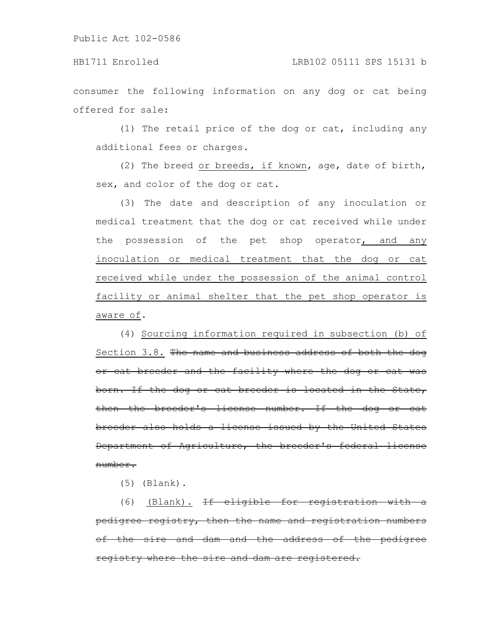### HB1711 Enrolled LRB102 05111 SPS 15131 b

consumer the following information on any dog or cat being offered for sale:

(1) The retail price of the dog or cat, including any additional fees or charges.

(2) The breed or breeds, if known, age, date of birth, sex, and color of the dog or cat.

(3) The date and description of any inoculation or medical treatment that the dog or cat received while under the possession of the pet shop operator, and any inoculation or medical treatment that the dog or cat received while under the possession of the animal control facility or animal shelter that the pet shop operator is aware of.

(4) Sourcing information required in subsection (b) of Section 3.8. The name and business address of both the dog or cat breeder and the facility where the dog or cat was born. If the dog or cat breeder is located in the State, then the breeder's license number. If the dog or cat breeder also holds a license issued by the United States Department of Agriculture, the breeder's federal license number.

(5) (Blank).

(6) (Blank). If eligible for registration with pedigree registry, then the name and registration numbers of the sire and dam and the address of the pedigree registry where the sire and dam are registered.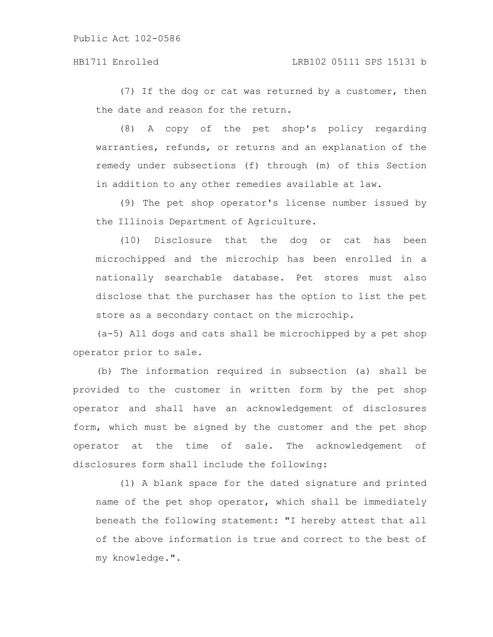(7) If the dog or cat was returned by a customer, then the date and reason for the return.

(8) A copy of the pet shop's policy regarding warranties, refunds, or returns and an explanation of the remedy under subsections (f) through (m) of this Section in addition to any other remedies available at law.

(9) The pet shop operator's license number issued by the Illinois Department of Agriculture.

(10) Disclosure that the dog or cat has been microchipped and the microchip has been enrolled in a nationally searchable database. Pet stores must also disclose that the purchaser has the option to list the pet store as a secondary contact on the microchip.

(a-5) All dogs and cats shall be microchipped by a pet shop operator prior to sale.

(b) The information required in subsection (a) shall be provided to the customer in written form by the pet shop operator and shall have an acknowledgement of disclosures form, which must be signed by the customer and the pet shop operator at the time of sale. The acknowledgement of disclosures form shall include the following:

(1) A blank space for the dated signature and printed name of the pet shop operator, which shall be immediately beneath the following statement: "I hereby attest that all of the above information is true and correct to the best of my knowledge.".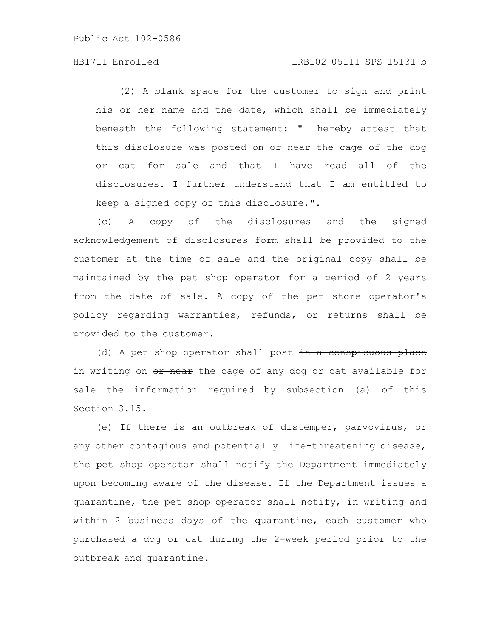### HB1711 Enrolled LRB102 05111 SPS 15131 b

(2) A blank space for the customer to sign and print his or her name and the date, which shall be immediately beneath the following statement: "I hereby attest that this disclosure was posted on or near the cage of the dog or cat for sale and that I have read all of the disclosures. I further understand that I am entitled to keep a signed copy of this disclosure.".

(c) A copy of the disclosures and the signed acknowledgement of disclosures form shall be provided to the customer at the time of sale and the original copy shall be maintained by the pet shop operator for a period of 2 years from the date of sale. A copy of the pet store operator's policy regarding warranties, refunds, or returns shall be provided to the customer.

(d) A pet shop operator shall post in a conspicuous place in writing on or near the cage of any dog or cat available for sale the information required by subsection (a) of this Section 3.15.

(e) If there is an outbreak of distemper, parvovirus, or any other contagious and potentially life-threatening disease, the pet shop operator shall notify the Department immediately upon becoming aware of the disease. If the Department issues a quarantine, the pet shop operator shall notify, in writing and within 2 business days of the quarantine, each customer who purchased a dog or cat during the 2-week period prior to the outbreak and quarantine.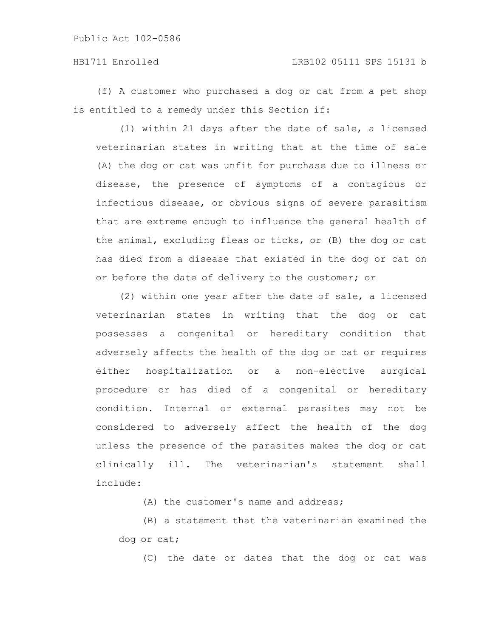### HB1711 Enrolled LRB102 05111 SPS 15131 b

(f) A customer who purchased a dog or cat from a pet shop is entitled to a remedy under this Section if:

(1) within 21 days after the date of sale, a licensed veterinarian states in writing that at the time of sale (A) the dog or cat was unfit for purchase due to illness or disease, the presence of symptoms of a contagious or infectious disease, or obvious signs of severe parasitism that are extreme enough to influence the general health of the animal, excluding fleas or ticks, or (B) the dog or cat has died from a disease that existed in the dog or cat on or before the date of delivery to the customer; or

(2) within one year after the date of sale, a licensed veterinarian states in writing that the dog or cat possesses a congenital or hereditary condition that adversely affects the health of the dog or cat or requires either hospitalization or a non-elective surgical procedure or has died of a congenital or hereditary condition. Internal or external parasites may not be considered to adversely affect the health of the dog unless the presence of the parasites makes the dog or cat clinically ill. The veterinarian's statement shall include:

(A) the customer's name and address;

(B) a statement that the veterinarian examined the dog or cat;

(C) the date or dates that the dog or cat was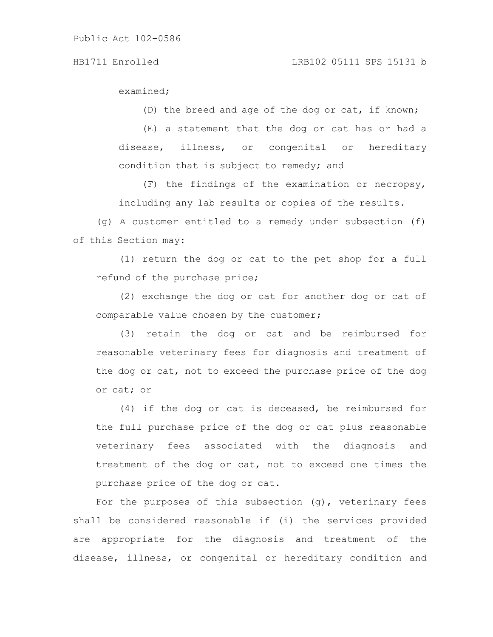examined;

(D) the breed and age of the dog or cat, if known;

(E) a statement that the dog or cat has or had a disease, illness, or congenital or hereditary condition that is subject to remedy; and

(F) the findings of the examination or necropsy, including any lab results or copies of the results.

(g) A customer entitled to a remedy under subsection (f) of this Section may:

(1) return the dog or cat to the pet shop for a full refund of the purchase price;

(2) exchange the dog or cat for another dog or cat of comparable value chosen by the customer;

(3) retain the dog or cat and be reimbursed for reasonable veterinary fees for diagnosis and treatment of the dog or cat, not to exceed the purchase price of the dog or cat; or

(4) if the dog or cat is deceased, be reimbursed for the full purchase price of the dog or cat plus reasonable veterinary fees associated with the diagnosis and treatment of the dog or cat, not to exceed one times the purchase price of the dog or cat.

For the purposes of this subsection (g), veterinary fees shall be considered reasonable if (i) the services provided are appropriate for the diagnosis and treatment of the disease, illness, or congenital or hereditary condition and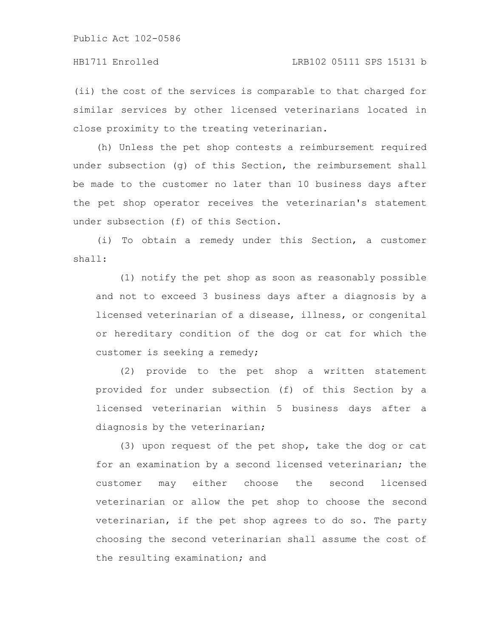(ii) the cost of the services is comparable to that charged for similar services by other licensed veterinarians located in close proximity to the treating veterinarian.

(h) Unless the pet shop contests a reimbursement required under subsection (g) of this Section, the reimbursement shall be made to the customer no later than 10 business days after the pet shop operator receives the veterinarian's statement under subsection (f) of this Section.

(i) To obtain a remedy under this Section, a customer shall:

(1) notify the pet shop as soon as reasonably possible and not to exceed 3 business days after a diagnosis by a licensed veterinarian of a disease, illness, or congenital or hereditary condition of the dog or cat for which the customer is seeking a remedy;

(2) provide to the pet shop a written statement provided for under subsection (f) of this Section by a licensed veterinarian within 5 business days after a diagnosis by the veterinarian;

(3) upon request of the pet shop, take the dog or cat for an examination by a second licensed veterinarian; the customer may either choose the second licensed veterinarian or allow the pet shop to choose the second veterinarian, if the pet shop agrees to do so. The party choosing the second veterinarian shall assume the cost of the resulting examination; and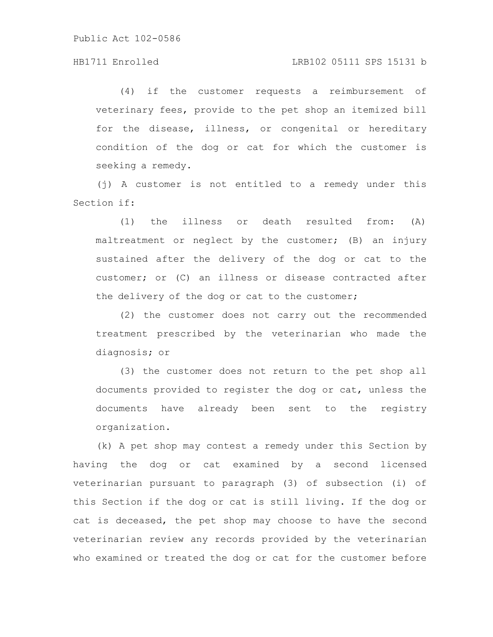(4) if the customer requests a reimbursement of veterinary fees, provide to the pet shop an itemized bill for the disease, illness, or congenital or hereditary condition of the dog or cat for which the customer is seeking a remedy.

(j) A customer is not entitled to a remedy under this Section if:

(1) the illness or death resulted from: (A) maltreatment or neglect by the customer; (B) an injury sustained after the delivery of the dog or cat to the customer; or (C) an illness or disease contracted after the delivery of the dog or cat to the customer;

(2) the customer does not carry out the recommended treatment prescribed by the veterinarian who made the diagnosis; or

(3) the customer does not return to the pet shop all documents provided to register the dog or cat, unless the documents have already been sent to the registry organization.

(k) A pet shop may contest a remedy under this Section by having the dog or cat examined by a second licensed veterinarian pursuant to paragraph (3) of subsection (i) of this Section if the dog or cat is still living. If the dog or cat is deceased, the pet shop may choose to have the second veterinarian review any records provided by the veterinarian who examined or treated the dog or cat for the customer before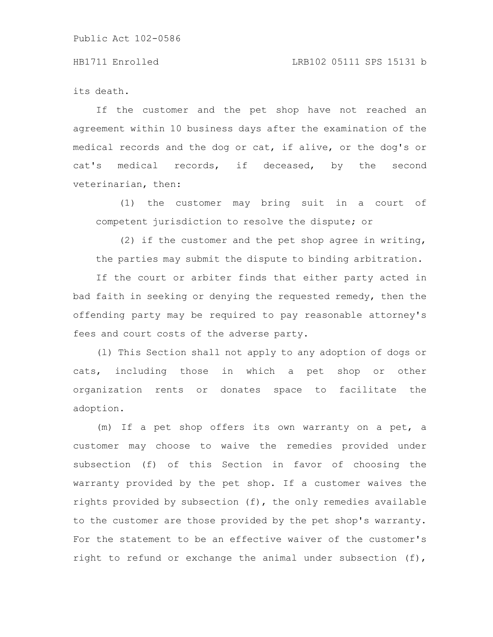#### HB1711 Enrolled LRB102 05111 SPS 15131 b

its death.

If the customer and the pet shop have not reached an agreement within 10 business days after the examination of the medical records and the dog or cat, if alive, or the dog's or cat's medical records, if deceased, by the second veterinarian, then:

(1) the customer may bring suit in a court of competent jurisdiction to resolve the dispute; or

(2) if the customer and the pet shop agree in writing, the parties may submit the dispute to binding arbitration.

If the court or arbiter finds that either party acted in bad faith in seeking or denying the requested remedy, then the offending party may be required to pay reasonable attorney's fees and court costs of the adverse party.

(l) This Section shall not apply to any adoption of dogs or cats, including those in which a pet shop or other organization rents or donates space to facilitate the adoption.

(m) If a pet shop offers its own warranty on a pet, a customer may choose to waive the remedies provided under subsection (f) of this Section in favor of choosing the warranty provided by the pet shop. If a customer waives the rights provided by subsection (f), the only remedies available to the customer are those provided by the pet shop's warranty. For the statement to be an effective waiver of the customer's right to refund or exchange the animal under subsection (f),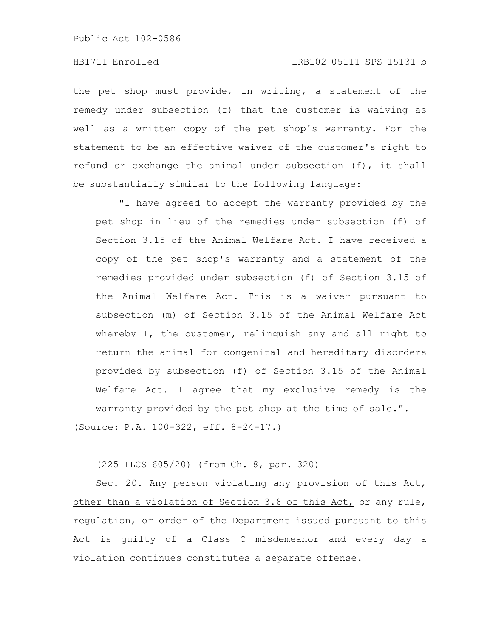### HB1711 Enrolled LRB102 05111 SPS 15131 b

the pet shop must provide, in writing, a statement of the remedy under subsection (f) that the customer is waiving as well as a written copy of the pet shop's warranty. For the statement to be an effective waiver of the customer's right to refund or exchange the animal under subsection (f), it shall be substantially similar to the following language:

"I have agreed to accept the warranty provided by the pet shop in lieu of the remedies under subsection (f) of Section 3.15 of the Animal Welfare Act. I have received a copy of the pet shop's warranty and a statement of the remedies provided under subsection (f) of Section 3.15 of the Animal Welfare Act. This is a waiver pursuant to subsection (m) of Section 3.15 of the Animal Welfare Act whereby I, the customer, relinquish any and all right to return the animal for congenital and hereditary disorders provided by subsection (f) of Section 3.15 of the Animal Welfare Act. I agree that my exclusive remedy is the warranty provided by the pet shop at the time of sale.". (Source: P.A. 100-322, eff. 8-24-17.)

(225 ILCS 605/20) (from Ch. 8, par. 320)

Sec. 20. Any person violating any provision of this Act, other than a violation of Section 3.8 of this Act, or any rule, regulation, or order of the Department issued pursuant to this Act is guilty of a Class C misdemeanor and every day a violation continues constitutes a separate offense.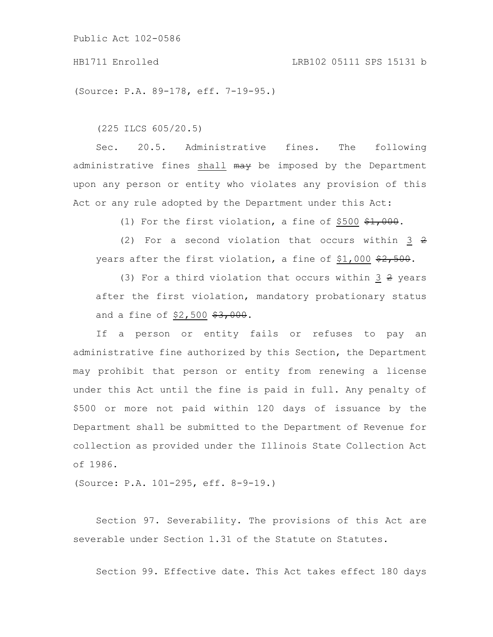#### HB1711 Enrolled LRB102 05111 SPS 15131 b

(Source: P.A. 89-178, eff. 7-19-95.)

(225 ILCS 605/20.5)

Sec. 20.5. Administrative fines. The following administrative fines shall may be imposed by the Department upon any person or entity who violates any provision of this Act or any rule adopted by the Department under this Act:

(1) For the first violation, a fine of \$500  $\frac{1}{21}$ , 000.

(2) For a second violation that occurs within  $3\,$   $2$ years after the first violation, a fine of \$1,000  $\frac{22}{500}$ .

(3) For a third violation that occurs within  $3 \frac{2}{3}$  years after the first violation, mandatory probationary status and a fine of  $$2,500$   $$3,000$ .

If a person or entity fails or refuses to pay an administrative fine authorized by this Section, the Department may prohibit that person or entity from renewing a license under this Act until the fine is paid in full. Any penalty of \$500 or more not paid within 120 days of issuance by the Department shall be submitted to the Department of Revenue for collection as provided under the Illinois State Collection Act of 1986.

(Source: P.A. 101-295, eff. 8-9-19.)

Section 97. Severability. The provisions of this Act are severable under Section 1.31 of the Statute on Statutes.

Section 99. Effective date. This Act takes effect 180 days